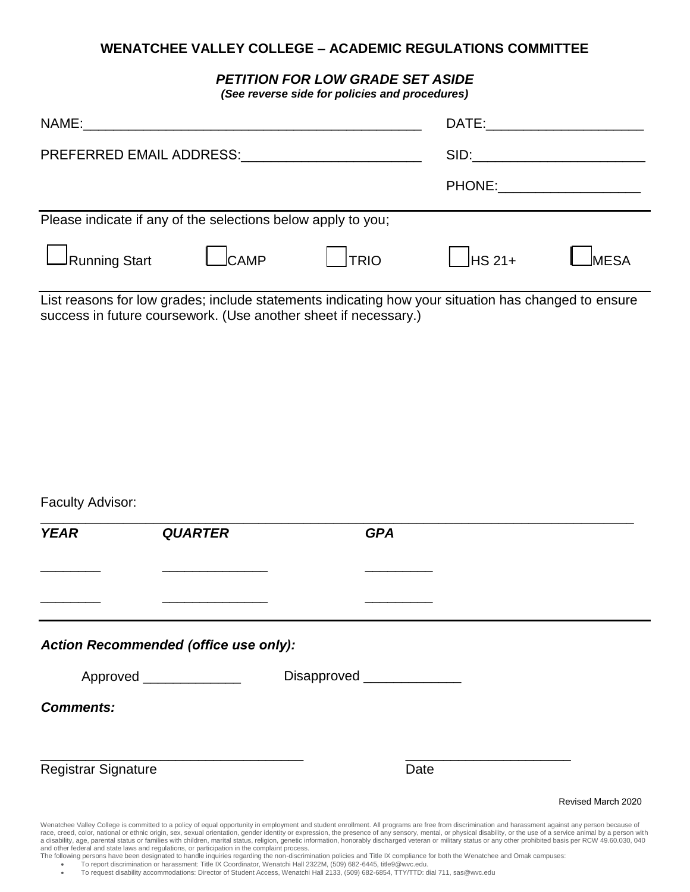## **WENATCHEE VALLEY COLLEGE – ACADEMIC REGULATIONS COMMITTEE**

## *PETITION FOR LOW GRADE SET ASIDE*

*(See reverse side for policies and procedures)*

| NAME:                                                        |       |             | DATE: the contract of the contract of the contract of the contract of the contract of the contract of the contract of the contract of the contract of the contract of the contract of the contract of the contract of the cont |             |
|--------------------------------------------------------------|-------|-------------|--------------------------------------------------------------------------------------------------------------------------------------------------------------------------------------------------------------------------------|-------------|
| PREFERRED EMAIL ADDRESS:                                     |       |             |                                                                                                                                                                                                                                |             |
|                                                              |       |             | PHONE:                                                                                                                                                                                                                         |             |
| Please indicate if any of the selections below apply to you; |       |             |                                                                                                                                                                                                                                |             |
| $\rfloor$ Running Start                                      | _CAMP | <b>TRIO</b> | $HS 21+$                                                                                                                                                                                                                       | <b>MESA</b> |

List reasons for low grades; include statements indicating how your situation has changed to ensure success in future coursework. (Use another sheet if necessary.)

| <b>YEAR</b>                | <b>QUARTER</b>                        | <b>GPA</b>                 |  |
|----------------------------|---------------------------------------|----------------------------|--|
|                            |                                       |                            |  |
|                            |                                       |                            |  |
|                            |                                       |                            |  |
|                            |                                       |                            |  |
|                            | Action Recommended (office use only): |                            |  |
|                            |                                       |                            |  |
|                            | Approved ______________               | Disapproved ______________ |  |
|                            |                                       |                            |  |
| <b>Comments:</b>           |                                       |                            |  |
| <b>Registrar Signature</b> |                                       | Date                       |  |

race, creed, color, national or ethnic origin, sex, sexual orientation, gender identity or expression, the presence of any sensory, mental, or physical disability, or the use of a service animal by a person with a disability, age, parental status or families with children, marital status, religion, genetic information, honorably discharged veteran or military status or any other prohibited basis per RCW 49.60.030, 040<br>and other fe

The following persons have been designated to handle inquiries regarding the non-discrimination policies and Title IX compliance for both the Wenatchee and Omak campuses:

• To report discrimination or harassment: Title IX Coordinator, Wenatchi Hall 2322M, (509) 682-6445, title9@wvc.edu.

• To request disability accommodations: Director of Student Access, Wenatchi Hall 2133, (509) 682-6854, TTY/TTD: dial 711, sas@wvc.edu